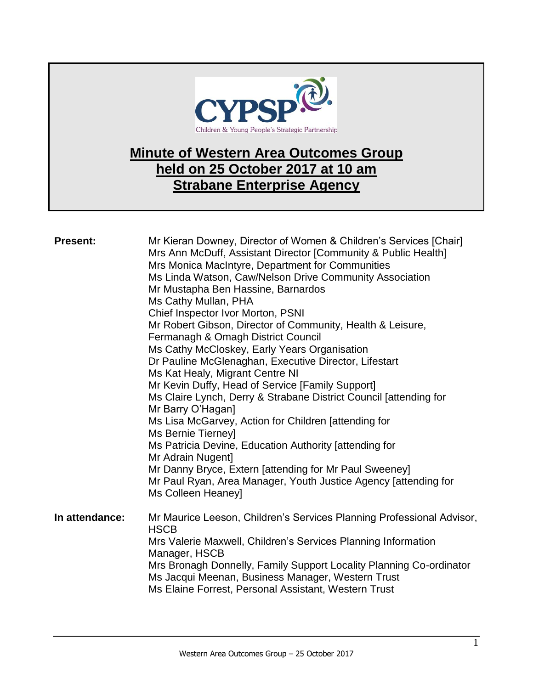

## **Minute of Western Area Outcomes Group held on 25 October 2017 at 10 am Strabane Enterprise Agency**

| <b>Present:</b> | Mr Kieran Downey, Director of Women & Children's Services [Chair]<br>Mrs Ann McDuff, Assistant Director [Community & Public Health]<br>Mrs Monica MacIntyre, Department for Communities<br>Ms Linda Watson, Caw/Nelson Drive Community Association<br>Mr Mustapha Ben Hassine, Barnardos<br>Ms Cathy Mullan, PHA<br>Chief Inspector Ivor Morton, PSNI<br>Mr Robert Gibson, Director of Community, Health & Leisure,<br>Fermanagh & Omagh District Council<br>Ms Cathy McCloskey, Early Years Organisation<br>Dr Pauline McGlenaghan, Executive Director, Lifestart<br>Ms Kat Healy, Migrant Centre NI<br>Mr Kevin Duffy, Head of Service [Family Support]<br>Ms Claire Lynch, Derry & Strabane District Council [attending for<br>Mr Barry O'Hagan]<br>Ms Lisa McGarvey, Action for Children [attending for<br>Ms Bernie Tierney]<br>Ms Patricia Devine, Education Authority [attending for<br>Mr Adrain Nugent]<br>Mr Danny Bryce, Extern [attending for Mr Paul Sweeney]<br>Mr Paul Ryan, Area Manager, Youth Justice Agency [attending for<br>Ms Colleen Heaney] |
|-----------------|---------------------------------------------------------------------------------------------------------------------------------------------------------------------------------------------------------------------------------------------------------------------------------------------------------------------------------------------------------------------------------------------------------------------------------------------------------------------------------------------------------------------------------------------------------------------------------------------------------------------------------------------------------------------------------------------------------------------------------------------------------------------------------------------------------------------------------------------------------------------------------------------------------------------------------------------------------------------------------------------------------------------------------------------------------------------|
| In attendance:  | Mr Maurice Leeson, Children's Services Planning Professional Advisor,<br><b>HSCB</b><br>Mrs Valerie Maxwell, Children's Services Planning Information<br>Manager, HSCB<br>Mrs Bronagh Donnelly, Family Support Locality Planning Co-ordinator<br>Ms Jacqui Meenan, Business Manager, Western Trust<br>Ms Elaine Forrest, Personal Assistant, Western Trust                                                                                                                                                                                                                                                                                                                                                                                                                                                                                                                                                                                                                                                                                                          |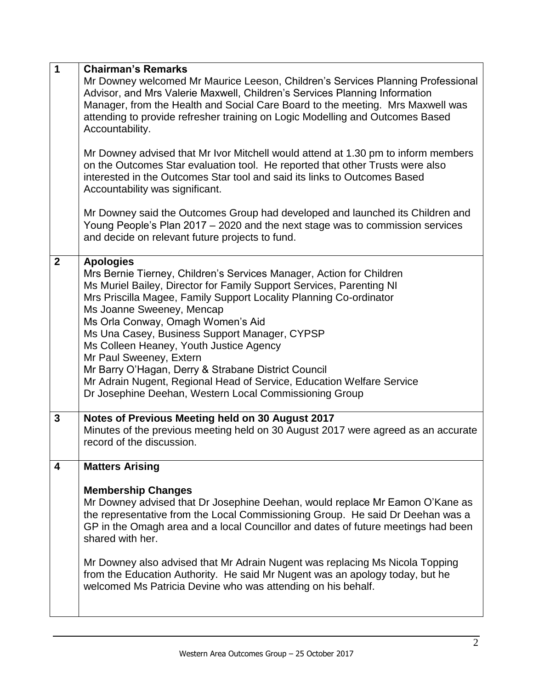| $\mathbf 1$             | <b>Chairman's Remarks</b><br>Mr Downey welcomed Mr Maurice Leeson, Children's Services Planning Professional<br>Advisor, and Mrs Valerie Maxwell, Children's Services Planning Information<br>Manager, from the Health and Social Care Board to the meeting. Mrs Maxwell was<br>attending to provide refresher training on Logic Modelling and Outcomes Based<br>Accountability.                                                                                                                                                                                                                                          |
|-------------------------|---------------------------------------------------------------------------------------------------------------------------------------------------------------------------------------------------------------------------------------------------------------------------------------------------------------------------------------------------------------------------------------------------------------------------------------------------------------------------------------------------------------------------------------------------------------------------------------------------------------------------|
|                         | Mr Downey advised that Mr Ivor Mitchell would attend at 1.30 pm to inform members<br>on the Outcomes Star evaluation tool. He reported that other Trusts were also<br>interested in the Outcomes Star tool and said its links to Outcomes Based<br>Accountability was significant.                                                                                                                                                                                                                                                                                                                                        |
|                         | Mr Downey said the Outcomes Group had developed and launched its Children and<br>Young People's Plan 2017 - 2020 and the next stage was to commission services<br>and decide on relevant future projects to fund.                                                                                                                                                                                                                                                                                                                                                                                                         |
| $\mathbf{2}$            | <b>Apologies</b><br>Mrs Bernie Tierney, Children's Services Manager, Action for Children<br>Ms Muriel Bailey, Director for Family Support Services, Parenting NI<br>Mrs Priscilla Magee, Family Support Locality Planning Co-ordinator<br>Ms Joanne Sweeney, Mencap<br>Ms Orla Conway, Omagh Women's Aid<br>Ms Una Casey, Business Support Manager, CYPSP<br>Ms Colleen Heaney, Youth Justice Agency<br>Mr Paul Sweeney, Extern<br>Mr Barry O'Hagan, Derry & Strabane District Council<br>Mr Adrain Nugent, Regional Head of Service, Education Welfare Service<br>Dr Josephine Deehan, Western Local Commissioning Group |
| $\mathbf{3}$            | Notes of Previous Meeting held on 30 August 2017<br>Minutes of the previous meeting held on 30 August 2017 were agreed as an accurate<br>record of the discussion.                                                                                                                                                                                                                                                                                                                                                                                                                                                        |
| $\overline{\mathbf{4}}$ | <b>Matters Arising</b>                                                                                                                                                                                                                                                                                                                                                                                                                                                                                                                                                                                                    |
|                         | <b>Membership Changes</b><br>Mr Downey advised that Dr Josephine Deehan, would replace Mr Eamon O'Kane as<br>the representative from the Local Commissioning Group. He said Dr Deehan was a<br>GP in the Omagh area and a local Councillor and dates of future meetings had been<br>shared with her.<br>Mr Downey also advised that Mr Adrain Nugent was replacing Ms Nicola Topping<br>from the Education Authority. He said Mr Nugent was an apology today, but he<br>welcomed Ms Patricia Devine who was attending on his behalf.                                                                                      |
|                         |                                                                                                                                                                                                                                                                                                                                                                                                                                                                                                                                                                                                                           |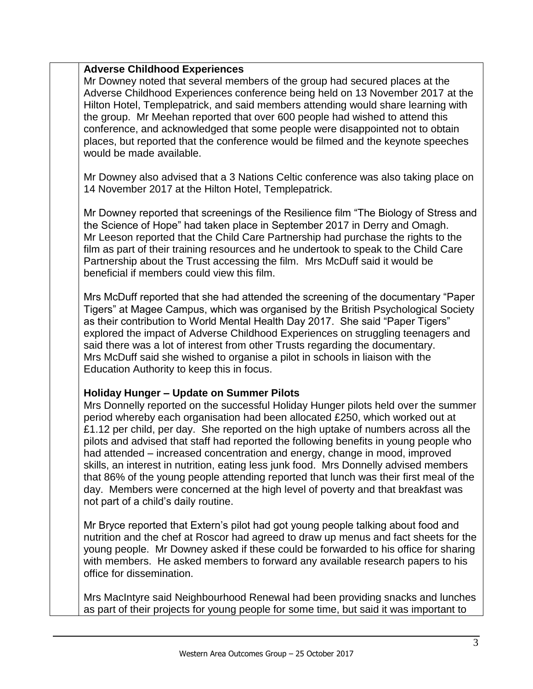## **Adverse Childhood Experiences**

Mr Downey noted that several members of the group had secured places at the Adverse Childhood Experiences conference being held on 13 November 2017 at the Hilton Hotel, Templepatrick, and said members attending would share learning with the group. Mr Meehan reported that over 600 people had wished to attend this conference, and acknowledged that some people were disappointed not to obtain places, but reported that the conference would be filmed and the keynote speeches would be made available.

Mr Downey also advised that a 3 Nations Celtic conference was also taking place on 14 November 2017 at the Hilton Hotel, Templepatrick.

Mr Downey reported that screenings of the Resilience film "The Biology of Stress and the Science of Hope" had taken place in September 2017 in Derry and Omagh. Mr Leeson reported that the Child Care Partnership had purchase the rights to the film as part of their training resources and he undertook to speak to the Child Care Partnership about the Trust accessing the film. Mrs McDuff said it would be beneficial if members could view this film.

Mrs McDuff reported that she had attended the screening of the documentary "Paper Tigers" at Magee Campus, which was organised by the British Psychological Society as their contribution to World Mental Health Day 2017. She said "Paper Tigers" explored the impact of Adverse Childhood Experiences on struggling teenagers and said there was a lot of interest from other Trusts regarding the documentary. Mrs McDuff said she wished to organise a pilot in schools in liaison with the Education Authority to keep this in focus.

## **Holiday Hunger – Update on Summer Pilots**

Mrs Donnelly reported on the successful Holiday Hunger pilots held over the summer period whereby each organisation had been allocated £250, which worked out at £1.12 per child, per day. She reported on the high uptake of numbers across all the pilots and advised that staff had reported the following benefits in young people who had attended – increased concentration and energy, change in mood, improved skills, an interest in nutrition, eating less junk food. Mrs Donnelly advised members that 86% of the young people attending reported that lunch was their first meal of the day. Members were concerned at the high level of poverty and that breakfast was not part of a child's daily routine.

Mr Bryce reported that Extern's pilot had got young people talking about food and nutrition and the chef at Roscor had agreed to draw up menus and fact sheets for the young people. Mr Downey asked if these could be forwarded to his office for sharing with members. He asked members to forward any available research papers to his office for dissemination.

Mrs MacIntyre said Neighbourhood Renewal had been providing snacks and lunches as part of their projects for young people for some time, but said it was important to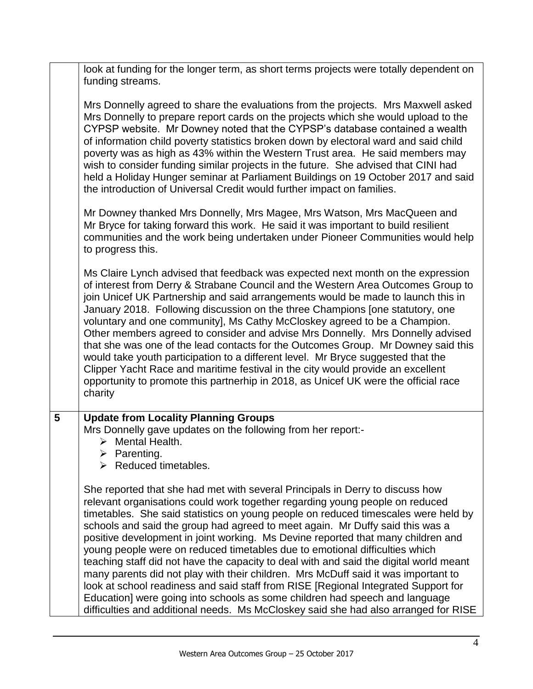|                | look at funding for the longer term, as short terms projects were totally dependent on<br>funding streams.                                                                                                                                                                                                                                                                                                                                                                                                                                                                                                                                                                                                                                                                                                                                                                                                                                          |
|----------------|-----------------------------------------------------------------------------------------------------------------------------------------------------------------------------------------------------------------------------------------------------------------------------------------------------------------------------------------------------------------------------------------------------------------------------------------------------------------------------------------------------------------------------------------------------------------------------------------------------------------------------------------------------------------------------------------------------------------------------------------------------------------------------------------------------------------------------------------------------------------------------------------------------------------------------------------------------|
|                | Mrs Donnelly agreed to share the evaluations from the projects. Mrs Maxwell asked<br>Mrs Donnelly to prepare report cards on the projects which she would upload to the<br>CYPSP website. Mr Downey noted that the CYPSP's database contained a wealth<br>of information child poverty statistics broken down by electoral ward and said child<br>poverty was as high as 43% within the Western Trust area. He said members may<br>wish to consider funding similar projects in the future. She advised that CINI had<br>held a Holiday Hunger seminar at Parliament Buildings on 19 October 2017 and said<br>the introduction of Universal Credit would further impact on families.                                                                                                                                                                                                                                                                |
|                | Mr Downey thanked Mrs Donnelly, Mrs Magee, Mrs Watson, Mrs MacQueen and<br>Mr Bryce for taking forward this work. He said it was important to build resilient<br>communities and the work being undertaken under Pioneer Communities would help<br>to progress this.                                                                                                                                                                                                                                                                                                                                                                                                                                                                                                                                                                                                                                                                                |
|                | Ms Claire Lynch advised that feedback was expected next month on the expression<br>of interest from Derry & Strabane Council and the Western Area Outcomes Group to<br>join Unicef UK Partnership and said arrangements would be made to launch this in<br>January 2018. Following discussion on the three Champions [one statutory, one<br>voluntary and one community], Ms Cathy McCloskey agreed to be a Champion.<br>Other members agreed to consider and advise Mrs Donnelly. Mrs Donnelly advised<br>that she was one of the lead contacts for the Outcomes Group. Mr Downey said this<br>would take youth participation to a different level. Mr Bryce suggested that the<br>Clipper Yacht Race and maritime festival in the city would provide an excellent<br>opportunity to promote this partnerhip in 2018, as Unicef UK were the official race<br>charity                                                                               |
| $5\phantom{1}$ | <b>Update from Locality Planning Groups</b><br>Mrs Donnelly gave updates on the following from her report:-<br>$\triangleright$ Mental Health.<br>$\triangleright$ Parenting.<br>$\triangleright$ Reduced timetables.                                                                                                                                                                                                                                                                                                                                                                                                                                                                                                                                                                                                                                                                                                                               |
|                | She reported that she had met with several Principals in Derry to discuss how<br>relevant organisations could work together regarding young people on reduced<br>timetables. She said statistics on young people on reduced timescales were held by<br>schools and said the group had agreed to meet again. Mr Duffy said this was a<br>positive development in joint working. Ms Devine reported that many children and<br>young people were on reduced timetables due to emotional difficulties which<br>teaching staff did not have the capacity to deal with and said the digital world meant<br>many parents did not play with their children. Mrs McDuff said it was important to<br>look at school readiness and said staff from RISE [Regional Integrated Support for<br>Education] were going into schools as some children had speech and language<br>difficulties and additional needs. Ms McCloskey said she had also arranged for RISE |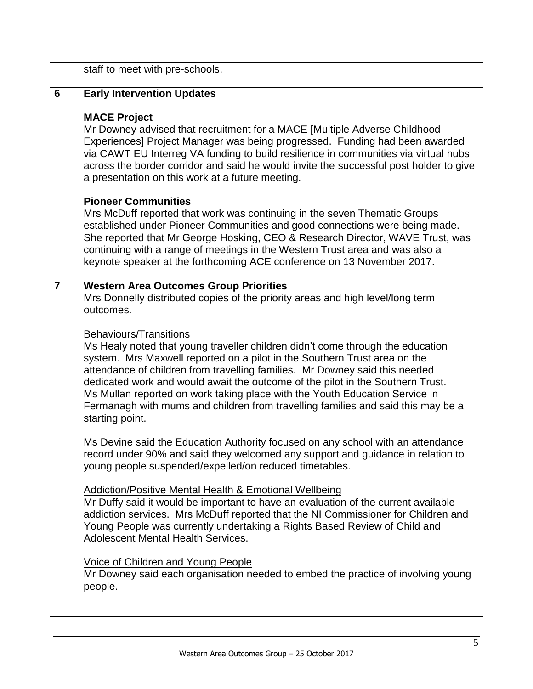|                | staff to meet with pre-schools.                                                                                                                                                                                                                                                                                                                                                                                                                                                                                                              |
|----------------|----------------------------------------------------------------------------------------------------------------------------------------------------------------------------------------------------------------------------------------------------------------------------------------------------------------------------------------------------------------------------------------------------------------------------------------------------------------------------------------------------------------------------------------------|
| 6              | <b>Early Intervention Updates</b>                                                                                                                                                                                                                                                                                                                                                                                                                                                                                                            |
|                | <b>MACE Project</b><br>Mr Downey advised that recruitment for a MACE [Multiple Adverse Childhood<br>Experiences] Project Manager was being progressed. Funding had been awarded<br>via CAWT EU Interreg VA funding to build resilience in communities via virtual hubs<br>across the border corridor and said he would invite the successful post holder to give<br>a presentation on this work at a future meeting.                                                                                                                         |
|                | <b>Pioneer Communities</b><br>Mrs McDuff reported that work was continuing in the seven Thematic Groups<br>established under Pioneer Communities and good connections were being made.<br>She reported that Mr George Hosking, CEO & Research Director, WAVE Trust, was<br>continuing with a range of meetings in the Western Trust area and was also a<br>keynote speaker at the forthcoming ACE conference on 13 November 2017.                                                                                                            |
| $\overline{7}$ | <b>Western Area Outcomes Group Priorities</b><br>Mrs Donnelly distributed copies of the priority areas and high level/long term<br>outcomes.                                                                                                                                                                                                                                                                                                                                                                                                 |
|                | Behaviours/Transitions<br>Ms Healy noted that young traveller children didn't come through the education<br>system. Mrs Maxwell reported on a pilot in the Southern Trust area on the<br>attendance of children from travelling families. Mr Downey said this needed<br>dedicated work and would await the outcome of the pilot in the Southern Trust.<br>Ms Mullan reported on work taking place with the Youth Education Service in<br>Fermanagh with mums and children from travelling families and said this may be a<br>starting point. |
|                | Ms Devine said the Education Authority focused on any school with an attendance<br>record under 90% and said they welcomed any support and guidance in relation to<br>young people suspended/expelled/on reduced timetables.                                                                                                                                                                                                                                                                                                                 |
|                | <b>Addiction/Positive Mental Health &amp; Emotional Wellbeing</b><br>Mr Duffy said it would be important to have an evaluation of the current available<br>addiction services. Mrs McDuff reported that the NI Commissioner for Children and<br>Young People was currently undertaking a Rights Based Review of Child and<br><b>Adolescent Mental Health Services.</b>                                                                                                                                                                       |
|                | Voice of Children and Young People<br>Mr Downey said each organisation needed to embed the practice of involving young<br>people.                                                                                                                                                                                                                                                                                                                                                                                                            |
|                |                                                                                                                                                                                                                                                                                                                                                                                                                                                                                                                                              |